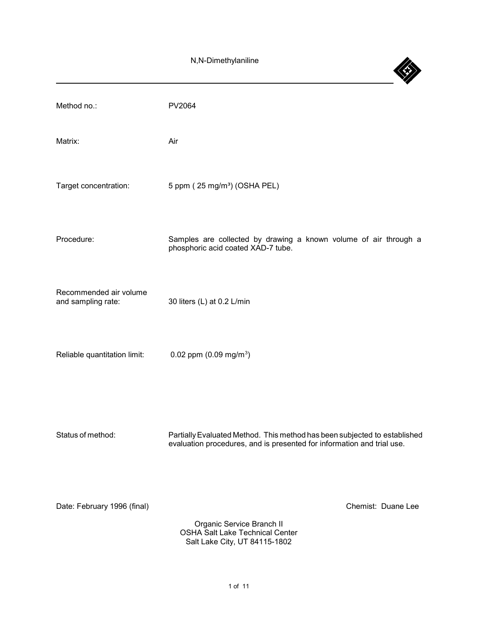4

| Method no.:                                  | <b>PV2064</b>                                                                                                                                       |
|----------------------------------------------|-----------------------------------------------------------------------------------------------------------------------------------------------------|
| Matrix:                                      | Air                                                                                                                                                 |
| Target concentration:                        | 5 ppm (25 mg/m <sup>3</sup> ) (OSHA PEL)                                                                                                            |
| Procedure:                                   | Samples are collected by drawing a known volume of air through a<br>phosphoric acid coated XAD-7 tube.                                              |
| Recommended air volume<br>and sampling rate: | 30 liters (L) at 0.2 L/min                                                                                                                          |
| Reliable quantitation limit:                 | 0.02 ppm $(0.09 \text{ mg/m}^3)$                                                                                                                    |
| Status of method:                            | Partially Evaluated Method. This method has been subjected to established<br>evaluation procedures, and is presented for information and trial use. |
| Date: February 1996 (final)                  | Chemist: Duane Lee<br>Organic Service Branch II<br><b>OSHA Salt Lake Technical Center</b><br>Salt Lake City, UT 84115-1802                          |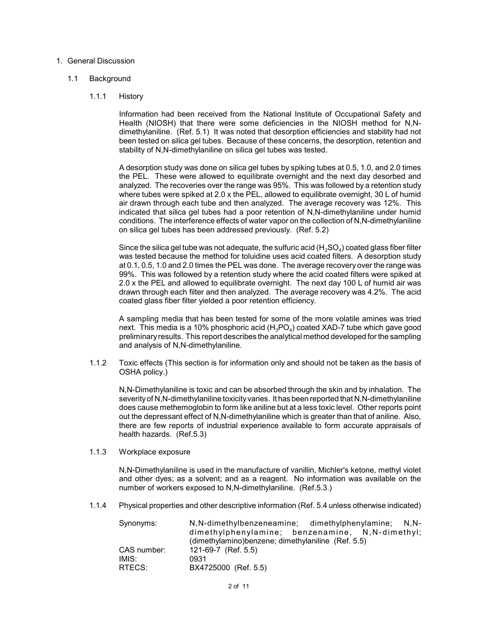### 1. General Discussion

## 1.1 Background

## 1.1.1 History

 Information had been received from the National Institute of Occupational Safety and Health (NIOSH) that there were some deficiencies in the NIOSH method for N,N- dimethylaniline. (Ref. 5.1) It was noted that desorption efficiencies and stability had not been tested on silica gel tubes. Because of these concerns, the desorption, retention and stability of N,N-dimethylaniline on silica gel tubes was tested.

 A desorption study was done on silica gel tubes by spiking tubes at 0.5, 1.0, and 2.0 times the PEL. These were allowed to equilibrate overnight and the next day desorbed and analyzed. The recoveries over the range was 95%. This was followed by a retention study where tubes were spiked at 2.0 x the PEL, allowed to equilibrate overnight, 30 L of humid air drawn through each tube and then analyzed. The average recovery was 12%. This indicated that silica gel tubes had a poor retention of N,N-dimethylaniline under humid conditions. The interference effects of water vapor on the collection of N,N-dimethylaniline on silica gel tubes has been addressed previously. (Ref. 5.2)

Since the silica gel tube was not adequate, the sulfuric acid (H $_2$ SO $_4$ ) coated glass fiber filter was tested because the method for toluidine uses acid coated filters. A desorption study at 0.1, 0.5, 1.0 and 2.0 times the PEL was done. The average recovery over the range was 99%. This was followed by a retention study where the acid coated filters were spiked at 2.0 x the PEL and allowed to equilibrate overnight. The next day 100 L of humid air was drawn through each filter and then analyzed. The average recovery was 4.2%. The acid coated glass fiber filter yielded a poor retention efficiency.

 A sampling media that has been tested for some of the more volatile amines was tried next. This media is a 10% phosphoric acid (H $_{\rm 3}$ PO $_{\rm 4}$ ) coated XAD-7 tube which gave good preliminaryresults. This report describes the analytical method developed for the sampling and analysis of N,N-dimethylaniline.

 1.1.2 Toxic effects (This section is for information only and should not be taken as the basis of OSHA policy.)

 N,N-Dimethylaniline is toxic and can be absorbed through the skin and by inhalation. The severityof N,N-dimethylaniline toxicityvaries. It has been reported that N,N-dimethylaniline does cause methemoglobin to form like aniline but at a less toxic level. Other reports point out the depressant effect of N,N-dimethylaniline which is greater than that of aniline. Also, there are few reports of industrial experience available to form accurate appraisals of health hazards. (Ref.5.3)

1.1.3 Workplace exposure

 N,N-Dimethylaniline is used in the manufacture of vanillin, Michler's ketone, methyl violet and other dyes; as a solvent; and as a reagent. No information was available on the number of workers exposed to N,N-dimethylaniline. (Ref.5.3.)

1.1.4 Physical properties and other descriptive information (Ref. 5.4 unless otherwise indicated)

| Synonyms:   | N, N-dimethylbenzeneamine; dimethylphenylamine; N, N- |  |
|-------------|-------------------------------------------------------|--|
|             | dimethylphenylamine; benzenamine, N, N-dimethyl;      |  |
|             | (dimethylamino)benzene; dimethylaniline (Ref. 5.5)    |  |
| CAS number: | 121-69-7 (Ref. 5.5)                                   |  |
| IMIS:       | 0931                                                  |  |
| RTECS:      | BX4725000 (Ref. 5.5)                                  |  |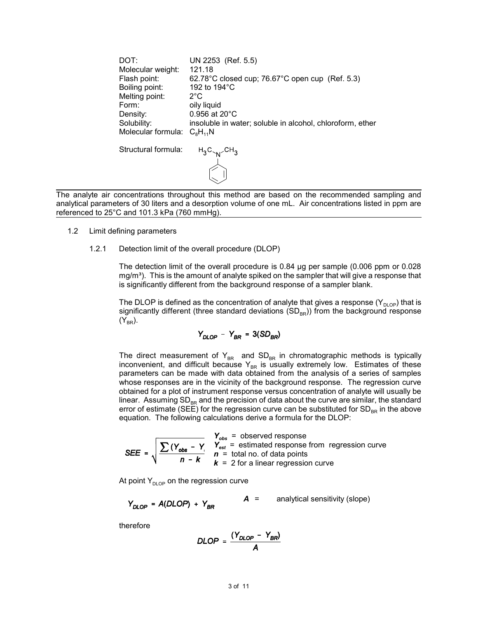DOT: UN 2253 (Ref. 5.5) Molecular weight: 121.18 Flash point: 62.78°C closed cup; 76.67°C open cup (Ref. 5.3) Boiling point: 192 to 194°C Melting point: 2<sup>°</sup>C Form: oily liquid Density: 0.956 at 20°C Solubility: insoluble in water; soluble in alcohol, chloroform, ether Molecular formula:  $C_8H_{11}N$ Structural formula:  $H_3C_{N}$ <sub>CH<sub>3</sub></sub>

 The analyte air concentrations throughout this method are based on the recommended sampling and analytical parameters of 30 liters and a desorption volume of one mL. Air concentrations listed in ppm are referenced to 25°C and 101.3 kPa (760 mmHg).

- 1.2 Limit defining parameters
	- 1.2.1 Detection limit of the overall procedure (DLOP)

 The detection limit of the overall procedure is 0.84 µg per sample (0.006 ppm or 0.028 mg/m $^{3}$ ). This is the amount of analyte spiked on the sampler that will give a response that is significantly different from the background response of a sampler blank.

The DLOP is defined as the concentration of analyte that gives a response (Y $_{\sf DLOP})$  that is significantly different (three standard deviations  $\mathsf{(SD}_\mathsf{BR})$ ) from the background response  $(Y_{BR})$ .

$$
Y_{DLOP} - Y_{BR} = 3(SD_{BR})
$$

The direct measurement of  $\mathsf{Y}_{\mathsf{BR}}\;$  and  $\mathsf{SD}_{\mathsf{BR}}$  in chromatographic methods is typically inconvenient, and difficult because  ${\mathsf Y}_{\texttt {BR}}$  is usually extremely low.  $\;$  Estimates of these parameters can be made with data obtained from the analysis of a series of samples whose responses are in the vicinity of the background response. The regression curve obtained for a plot of instrument response versus concentration of analyte will usually be linear. Assuming SD<sub>BR</sub> and the precision of data about the curve are similar, the standard error of estimate (SEE) for the regression curve can be substituted for SD<sub>BR</sub> in the above equation. The following calculations derive a formula for the DLOP:

$$
SEE = \sqrt{\frac{\sum (Y_{obs} - Y)}{n - k}} \frac{Y_{obs}}{k} = \text{estimated response from regression curve}
$$
  

$$
SEE = \sqrt{\frac{\sum (Y_{obs} - Y)}{n - k}} \frac{Y_{est}}{k} = 2 \text{ for a linear regression curve}
$$

At point  $\mathsf{Y}_{\mathsf{DLOP}}$  on the regression curve

$$
Y_{DLOP} = A(DLOP) + Y_{BR} \hspace{1cm} A = \text{analytical sensitivity (slope)}
$$

therefore

$$
DLOP = \frac{(Y_{DLOP} - Y_{BR})}{A}
$$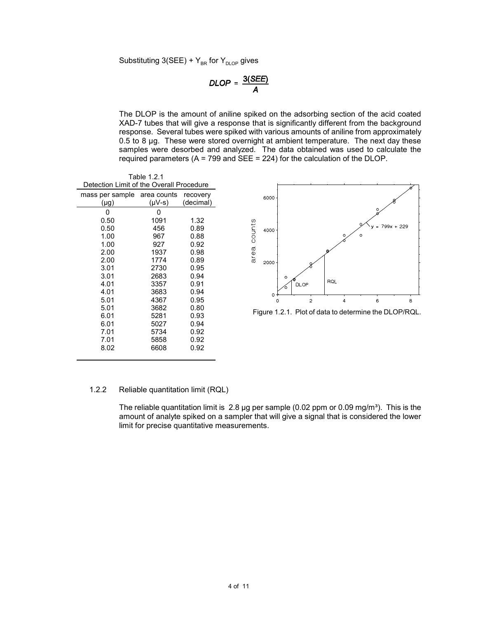Substituting 3(SEE) +  $\mathsf{Y}_{\mathsf{BR}}$  for  $\mathsf{Y}_{\mathsf{DLOP}}$  gives

$$
DLOP = \frac{3(SEE)}{A}
$$

 The DLOP is the amount of aniline spiked on the adsorbing section of the acid coated XAD-7 tubes that will give a response that is significantly different from the background response. Several tubes were spiked with various amounts of aniline from approximately 0.5 to 8 µg. These were stored overnight at ambient temperature. The next day these samples were desorbed and analyzed. The data obtained was used to calculate the required parameters (A = 799 and SEE = 224) for the calculation of the DLOP.

| Table 1.2.1                              |                                         |           |  |  |  |  |
|------------------------------------------|-----------------------------------------|-----------|--|--|--|--|
| Detection Limit of the Overall Procedure |                                         |           |  |  |  |  |
|                                          | mass per sample area counts<br>recovery |           |  |  |  |  |
| $(\mu g)$                                | $(\mu V - s)$                           | (decimal) |  |  |  |  |
| 0                                        | 0                                       |           |  |  |  |  |
| 0.50                                     | 1091                                    | 1.32      |  |  |  |  |
| 0.50                                     | 456                                     | 0.89      |  |  |  |  |
| 1.00                                     | 967                                     | 0.88      |  |  |  |  |
| 1.00                                     | 927                                     | 0.92      |  |  |  |  |
| 2.00                                     | 1937                                    | 0.98      |  |  |  |  |
| 2.00                                     | 1774                                    | 0.89      |  |  |  |  |
| 3.01                                     | 2730                                    | 0.95      |  |  |  |  |
| 3.01                                     | 2683                                    | 0.94      |  |  |  |  |
| 4.01                                     | 3357                                    | 0.91      |  |  |  |  |
| 4.01                                     | 3683                                    | 0.94      |  |  |  |  |
| 5.01                                     | 4367                                    | 0.95      |  |  |  |  |
| 5.01                                     | 3682                                    | 0.80      |  |  |  |  |
| 6.01                                     | 5281                                    | 0.93      |  |  |  |  |
| 6.01                                     | 5027                                    | 0.94      |  |  |  |  |
| 7.01                                     | 5734                                    | 0.92      |  |  |  |  |
| 7.01                                     | 5858                                    | 0.92      |  |  |  |  |
| 8.02                                     | 6608                                    | 0.92      |  |  |  |  |



Figure 1.2.1. Plot of data to determine the DLOP/RQL.

#### 1.2.2 Reliable quantitation limit (RQL)

The reliable quantitation limit is  $\,2.8$  µg per sample (0.02 ppm or 0.09 mg/m $^3$ ). This is the amount of analyte spiked on a sampler that will give a signal that is considered the lower limit for precise quantitative measurements.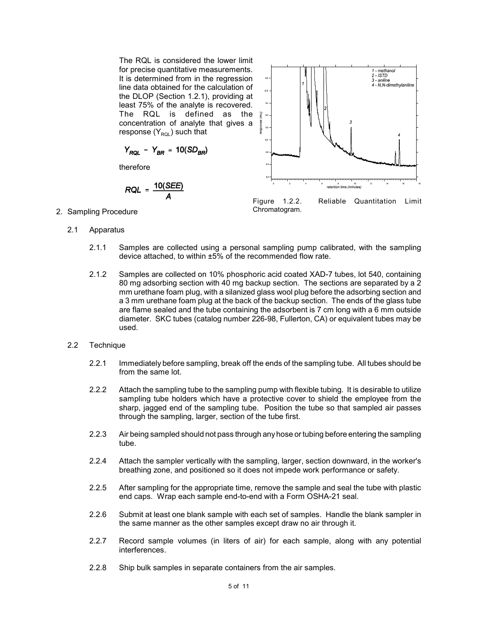The RQL is considered the lower limit for precise quantitative measurements. It is determined from in the regression line data obtained for the calculation of the DLOP (Section 1.2.1), providing at least 75% of the analyte is recovered. The RQL is defined as the concentration of analyte that gives a response  $(Y_{ROI})$  such that

$$
Y_{RQL} - Y_{BR} = 10(SD_{BR})
$$

therefore

$$
RQL = \frac{10(SEE)}{A}
$$



Figure 1.2.2. Reliable Quantitation Limit

- 2. Sampling Procedure **Chromatogram.** 2. Sampling Procedure
	- 2.1 Apparatus
		- 2.1.1 Samples are collected using a personal sampling pump calibrated, with the sampling device attached, to within ±5% of the recommended flow rate.
		- 2.1.2 Samples are collected on 10% phosphoric acid coated XAD-7 tubes, lot 540, containing 80 mg adsorbing section with 40 mg backup section. The sections are separated by a 2 mm urethane foam plug, with a silanized glass wool plug before the adsorbing section and a 3 mm urethane foam plug at the back of the backup section. The ends of the glass tube are flame sealed and the tube containing the adsorbent is 7 cm long with a 6 mm outside diameter. SKC tubes (catalog number 226-98, Fullerton, CA) or equivalent tubes may be used.
	- 2.2 Technique
		- 2.2.1 Immediately before sampling, break off the ends of the sampling tube. All tubes should be from the same lot.
		- 2.2.2 Attach the sampling tube to the sampling pump with flexible tubing. It is desirable to utilize sampling tube holders which have a protective cover to shield the employee from the sharp, jagged end of the sampling tube. Position the tube so that sampled air passes through the sampling, larger, section of the tube first.
		- 2.2.3 Air being sampled should not pass through any hose or tubing before entering the sampling tube.
		- 2.2.4 Attach the sampler vertically with the sampling, larger, section downward, in the worker's breathing zone, and positioned so it does not impede work performance or safety.
		- 2.2.5 After sampling for the appropriate time, remove the sample and seal the tube with plastic end caps. Wrap each sample end-to-end with a Form OSHA-21 seal.
		- 2.2.6 Submit at least one blank sample with each set of samples. Handle the blank sampler in the same manner as the other samples except draw no air through it.
		- 2.2.7 Record sample volumes (in liters of air) for each sample, along with any potential interferences.
		- 2.2.8 Ship bulk samples in separate containers from the air samples.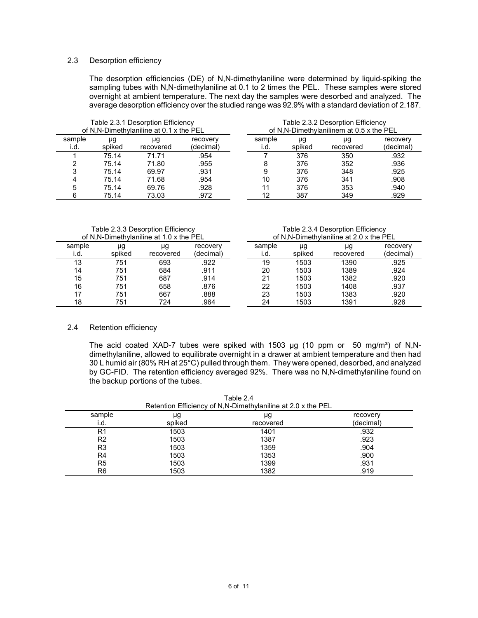## 2.3 Desorption efficiency

 The desorption efficiencies (DE) of N,N-dimethylaniline were determined by liquid-spiking the sampling tubes with N,N-dimethylaniline at 0.1 to 2 times the PEL. These samples were stored overnight at ambient temperature. The next day the samples were desorbed and analyzed. The average desorption efficiency over the studied range was 92.9% with a standard deviation of 2.187.

| Table 2.3.1 Desorption Efficiency<br>of N,N-Dimethylaniline at 0.1 x the PEL |              |                 | Table 2.3.2 Desorption Efficiency<br>of N,N-Dimethylanilinem at 0.5 x the PEL |                |              |                 |                       |
|------------------------------------------------------------------------------|--------------|-----------------|-------------------------------------------------------------------------------|----------------|--------------|-----------------|-----------------------|
| sample<br>i.d.                                                               | μg<br>spiked | μg<br>recovered | recovery<br>(decimal)                                                         | sample<br>ı.d. | μg<br>spiked | μg<br>recovered | recovery<br>(decimal) |
|                                                                              | 75.14        | 71.71           | .954                                                                          |                | 376          | 350             | .932                  |
|                                                                              | 75.14        | 71.80           | .955                                                                          |                | 376          | 352             | .936                  |
|                                                                              | 75.14        | 69.97           | .931                                                                          |                | 376          | 348             | .925                  |
|                                                                              | 75.14        | 71.68           | .954                                                                          | 10             | 376          | 341             | .908                  |
| 5                                                                            | 75.14        | 69.76           | .928                                                                          |                | 376          | 353             | .940                  |
|                                                                              | 75.14        | 73.03           | .972                                                                          | 12             | 387          | 349             | .929                  |

Table 2.3.3 Desorption Efficiency

| of N.N-Dimethylaniline at 1.0 x the PEL |              |                 | of N.N-Dimethylaniline at 2.0 x the PEL |                |              |                 |                       |
|-----------------------------------------|--------------|-----------------|-----------------------------------------|----------------|--------------|-----------------|-----------------------|
| sample<br>ı.d.                          | μg<br>spiked | μg<br>recovered | recoverv<br>(decimal)                   | sample<br>ı.d. | μg<br>spiked | μg<br>recovered | recovery<br>(decimal) |
|                                         |              |                 |                                         |                |              |                 |                       |
| 13                                      | 751          | 693             | .922                                    | 19             | 1503         | 1390            | .925                  |
| 14                                      | 751          | 684             | .911                                    | 20             | 1503         | 1389            | .924                  |
| 15                                      | 751          | 687             | .914                                    | 21             | 1503         | 1382            | .920                  |
| 16                                      | 751          | 658             | .876                                    | 22             | 1503         | 1408            | .937                  |
| 17                                      | 751          | 667             | 888.                                    | 23             | 1503         | 1383            | .920                  |
| 18                                      | 751          | 724             | .964                                    | 24             | 1503         | 1391            | .926                  |

Table 2.3.4 Desorption Efficiency

#### 2.4 Retention efficiency

The acid coated XAD-7 tubes were spiked with 1503  $\mu$ g (10 ppm or 50 mg/m<sup>3</sup>) of N,N- dimethylaniline, allowed to equilibrate overnight in a drawer at ambient temperature and then had 30 L humid air (80% RH at 25°C) pulled through them. They were opened, desorbed, and analyzed by GC-FID. The retention efficiency averaged 92%. There was no N,N-dimethylaniline found on the backup portions of the tubes.

| Retention Efficiency of N,N-Dimethylaniline at 2.0 x the PEL |              |                 |                       |  |  |
|--------------------------------------------------------------|--------------|-----------------|-----------------------|--|--|
| sample<br>i.d.                                               | μg<br>spiked | μg<br>recovered | recovery<br>(decimal) |  |  |
| R1                                                           | 1503         | 1401            | .932                  |  |  |
| R2                                                           | 1503         | 1387            | .923                  |  |  |
| R3                                                           | 1503         | 1359            | .904                  |  |  |
| R4                                                           | 1503         | 1353            | .900                  |  |  |
| R <sub>5</sub>                                               | 1503         | 1399            | .931                  |  |  |
| R6                                                           | 1503         | 1382            | .919                  |  |  |

Table 2.4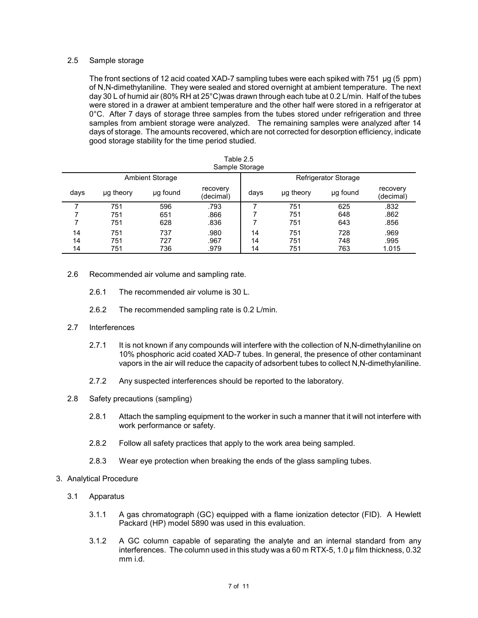# 2.5 Sample storage

 The front sections of 12 acid coated XAD-7 sampling tubes were each spiked with 751 µg (5 ppm) of N,N-dimethylaniline. They were sealed and stored overnight at ambient temperature. The next day 30 L of humid air (80% RH at 25°C)was drawn through each tube at 0.2 L/min. Half of the tubes were stored in a drawer at ambient temperature and the other half were stored in a refrigerator at 0°C. After 7 days of storage three samples from the tubes stored under refrigeration and three samples from ambient storage were analyzed. The remaining samples were analyzed after 14 days of storage. The amounts recovered, which are not corrected for desorption efficiency, indicate good storage stability for the time period studied.

| Table 2.5<br>Sample Storage |           |                 |                       |      |           |                             |                       |
|-----------------------------|-----------|-----------------|-----------------------|------|-----------|-----------------------------|-----------------------|
|                             |           | Ambient Storage |                       |      |           | <b>Refrigerator Storage</b> |                       |
| days                        | ug theory | ug found        | recovery<br>(decimal) | days | ug theory | ug found                    | recovery<br>(decimal) |
| 7                           | 751       | 596             | .793                  |      | 751       | 625                         | .832                  |
|                             | 751       | 651             | .866                  |      | 751       | 648                         | .862                  |
|                             | 751       | 628             | .836                  |      | 751       | 643                         | .856                  |
| 14                          | 751       | 737             | .980                  | 14   | 751       | 728                         | .969                  |
| 14                          | 751       | 727             | .967                  | 14   | 751       | 748                         | .995                  |
| 14                          | 751       | 736             | .979                  | 14   | 751       | 763                         | 1.015                 |

- 2.6 Recommended air volume and sampling rate.
	- 2.6.1 The recommended air volume is 30 L.
	- 2.6.2 The recommended sampling rate is 0.2 L/min.

# 2.7 Interferences

- 2.7.1 It is not known if any compounds will interfere with the collection of N,N-dimethylaniline on 10% phosphoric acid coated XAD-7 tubes. In general, the presence of other contaminant vapors in the air will reduce the capacity of adsorbent tubes to collect N,N-dimethylaniline.
- 2.7.2 Any suspected interferences should be reported to the laboratory.
- 2.8 Safety precautions (sampling)
	- 2.8.1 Attach the sampling equipment to the worker in such a manner that it will not interfere with work performance or safety.
	- 2.8.2 Follow all safety practices that apply to the work area being sampled.
	- 2.8.3 Wear eye protection when breaking the ends of the glass sampling tubes.
- 3. Analytical Procedure
	- 3.1 Apparatus
		- 3.1.1 A gas chromatograph (GC) equipped with a flame ionization detector (FID). A Hewlett Packard (HP) model 5890 was used in this evaluation.
		- 3.1.2 A GC column capable of separating the analyte and an internal standard from any interferences. The column used in this study was a 60 m RTX-5, 1.0 µ film thickness, 0.32 mm i.d.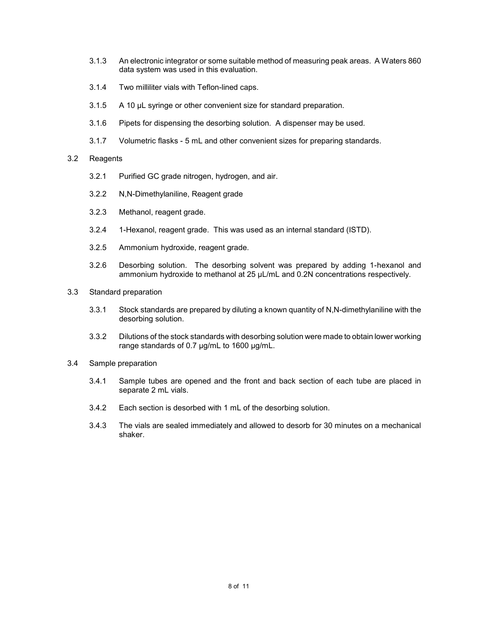- 3.1.3 An electronic integrator or some suitable method of measuring peak areas. A Waters 860 data system was used in this evaluation.
- 3.1.4 Two milliliter vials with Teflon-lined caps.
- 3.1.5 A 10 µL syringe or other convenient size for standard preparation.
- 3.1.6 Pipets for dispensing the desorbing solution. A dispenser may be used.
- 3.1.7 Volumetric flasks 5 mL and other convenient sizes for preparing standards.

# 3.2 Reagents

- 3.2.1 Purified GC grade nitrogen, hydrogen, and air.
- 3.2.2 N,N-Dimethylaniline, Reagent grade
- 3.2.3 Methanol, reagent grade.
- 3.2.4 1-Hexanol, reagent grade. This was used as an internal standard (ISTD).
- 3.2.5 Ammonium hydroxide, reagent grade.
- 3.2.6 Desorbing solution. The desorbing solvent was prepared by adding 1-hexanol and ammonium hydroxide to methanol at 25 µL/mL and 0.2N concentrations respectively.
- 3.3 Standard preparation
	- 3.3.1 Stock standards are prepared by diluting a known quantity of N,N-dimethylaniline with the desorbing solution.
	- 3.3.2 Dilutions of the stock standards with desorbing solution were made to obtain lower working range standards of 0.7 µg/mL to 1600 µg/mL.
- 3.4 Sample preparation
	- 3.4.1 Sample tubes are opened and the front and back section of each tube are placed in separate 2 mL vials.
	- 3.4.2 Each section is desorbed with 1 mL of the desorbing solution.
	- 3.4.3 The vials are sealed immediately and allowed to desorb for 30 minutes on a mechanical shaker.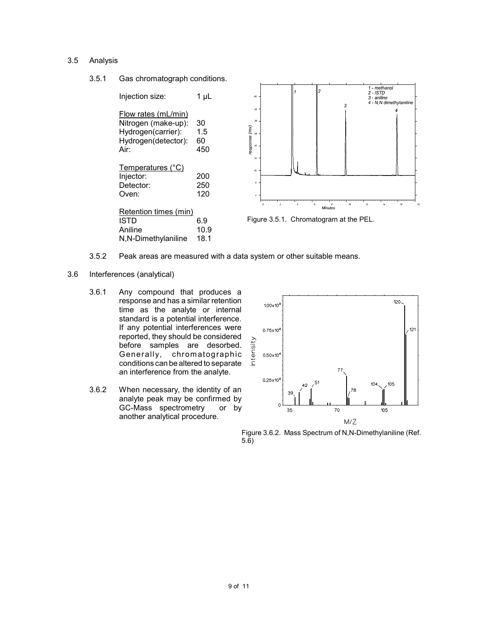# 3.5 Analysis

3.5.1 Gas chromatograph conditions.

| Injection size:                                                                                 | 1 uL                   |
|-------------------------------------------------------------------------------------------------|------------------------|
| Flow rates (mL/min)<br>Nitrogen (make-up):<br>Hydrogen(carrier):<br>Hydrogen(detector):<br>Air: | 30<br>1.5<br>60<br>450 |
| Temperatures (°C)<br>Injector:<br>Detector:<br>Oven:                                            | 200<br>250<br>120      |
| Retention times (min)<br>ISTD<br>Aniline<br>N,N-Dimethylaniline                                 | 6.9<br>10.9<br>18.1    |



Figure 3.5.1. Chromatogram at the PEL.

- 3.5.2 Peak areas are measured with a data system or other suitable means.
- 3.6 Interferences (analytical)
	- 3.6.1 Any compound that produces a response and has a similar retention time as the analyte or internal standard is a potential interference. If any potential interferences were reported, they should be considered before samples are desorbed. Generally, chromatographic conditions can be altered to separate an interference from the analyte.
	- 3.6.2 When necessary, the identity of an analyte peak may be confirmed by GC-Mass spectrometry or by another analytical procedure.



Figure 3.6.2. Mass Spectrum of N,N-Dimethylaniline (Ref. 5.6)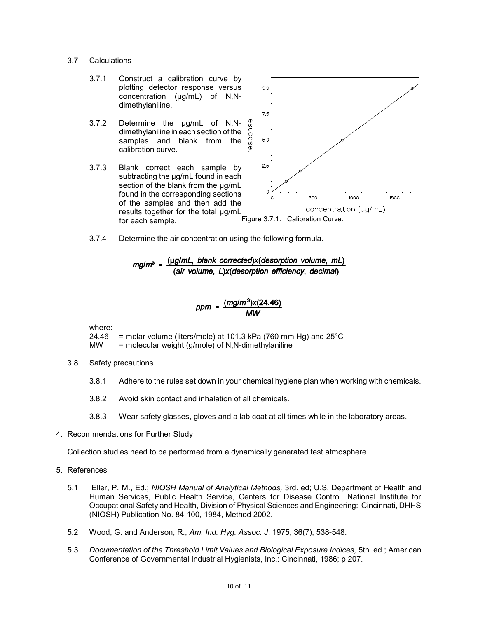- 3.7 Calculations
	- 3.7.1 Construct a calibration curve by plotting detector response versus concentration (µg/mL) of N,Ndimethylaniline.
	- 3.7.2 Determine the µg/mL of N,N- dimethylaniline in each section of the samples and blank from the calibration curve.
	- for each sample. **Figure 3.7.1.** Calibration Curve. 3.7.3 Blank correct each sample by subtracting the µg/mL found in each section of the blank from the µg/mL found in the corresponding sections of the samples and then add the results together for the total µg/mL for each sample.



3.7.4 Determine the air concentration using the following formula.

$$
mg/m3 = \frac{(\mu g/mL, blank corrected)x(desorption volume, mL)}{(air volume, L)x(desorption efficiency, decimal)}
$$

$$
ppm = \frac{(mg/m^3)x(24.46)}{MW}
$$

where:

 24.46 = molar volume (liters/mole) at 101.3 kPa (760 mm Hg) and 25°C MW = molecular weight (g/mole) of N,N-dimethylaniline

- 3.8 Safety precautions
	- 3.8.1 Adhere to the rules set down in your chemical hygiene plan when working with chemicals.
	- 3.8.2 Avoid skin contact and inhalation of all chemicals.
	- 3.8.3 Wear safety glasses, gloves and a lab coat at all times while in the laboratory areas.
- 4. Recommendations for Further Study

Collection studies need to be performed from a dynamically generated test atmosphere.

- 5. References
	- 5.1 Eller, P. M., Ed.; *NIOSH Manual of Analytical Methods,* 3rd. ed; U.S. Department of Health and Human Services, Public Health Service, Centers for Disease Control, National Institute for Occupational Safety and Health, Division of Physical Sciences and Engineering: Cincinnati, DHHS (NIOSH) Publication No. 84-100, 1984, Method 2002.
	- 5.2 Wood, G. and Anderson, R., Am. Ind. Hyg. Assoc. J, 1975, 36(7), 538-548.
	- 5.3 Documentation of the Threshold Limit Values and Biological Exposure Indices, 5th. ed.; American Conference of Governmental Industrial Hygienists, Inc.: Cincinnati, 1986; p 207.